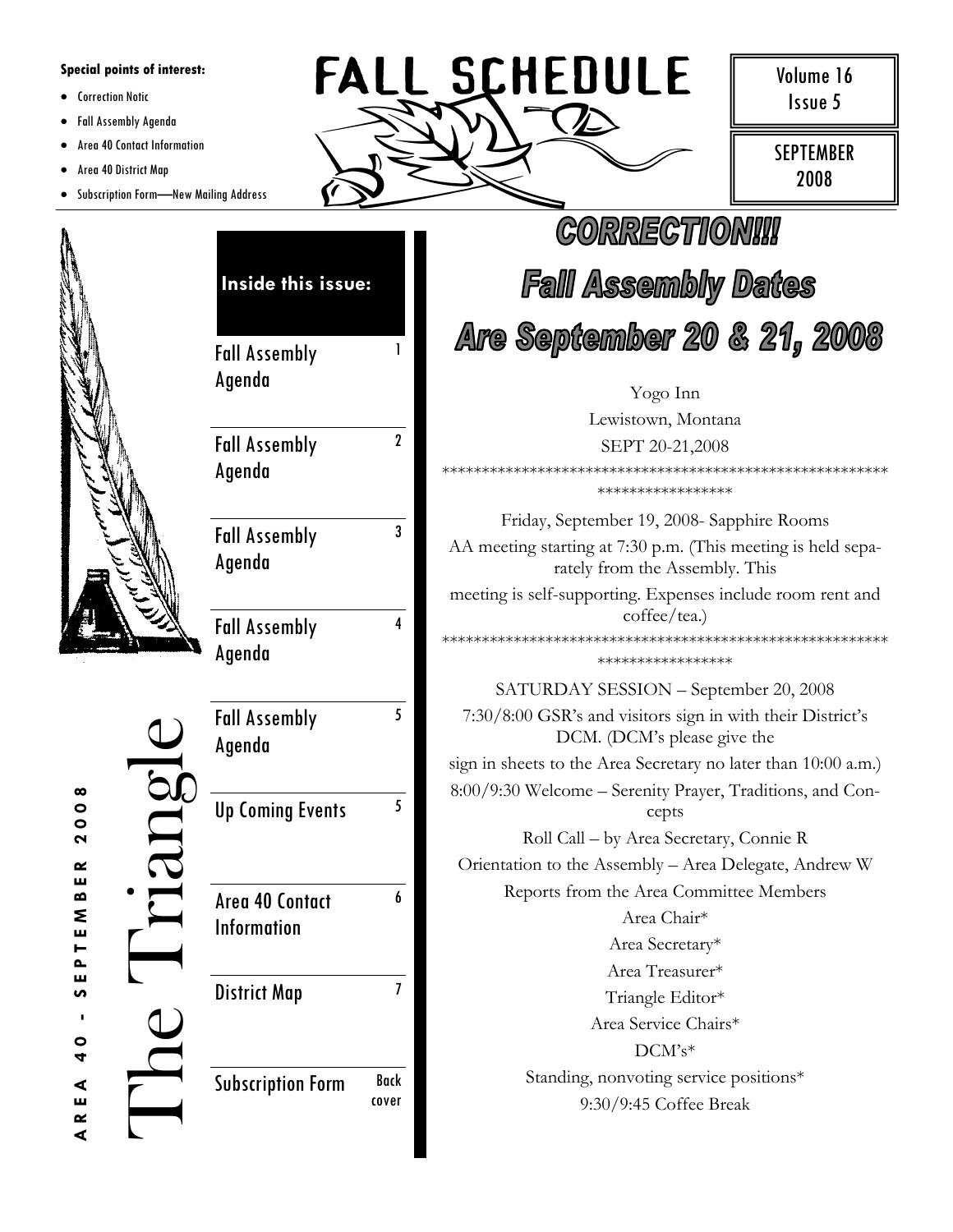## **Special points of interest:**

- Correction Notic
- Fall Assembly Agenda
- Area 40 Contact Information  $\bullet$
- Area 40 District Map  $\bullet$
- Subscription Form-New Mailing Address  $\bullet$



Volume 16 Issue 5

**SEPTEMBER** 2008

| Inside this issue:                      |                                                                         | <b><i>CORRECTIONI!!</i></b><br><b>Fall Assembly Dates</b>                                      |  |                      |
|-----------------------------------------|-------------------------------------------------------------------------|------------------------------------------------------------------------------------------------|--|----------------------|
|                                         |                                                                         |                                                                                                |  | <b>Fall Assembly</b> |
| Agenda                                  |                                                                         | Yogo Inn                                                                                       |  |                      |
|                                         |                                                                         | Lewistown, Montana                                                                             |  |                      |
| <b>Fall Assembly</b>                    | $\boldsymbol{\mathsf{2}}$                                               | SEPT 20-21,2008<br>*****************                                                           |  |                      |
| Agenda                                  |                                                                         |                                                                                                |  |                      |
|                                         | 3                                                                       | Friday, September 19, 2008- Sapphire Rooms                                                     |  |                      |
| <b>Fall Assembly</b><br>Agenda          |                                                                         | AA meeting starting at 7:30 p.m. (This meeting is held sepa-<br>rately from the Assembly. This |  |                      |
|                                         |                                                                         | meeting is self-supporting. Expenses include room rent and                                     |  |                      |
| 4<br><b>Fall Assembly</b>               |                                                                         | coffee/tea.)                                                                                   |  |                      |
| Agenda                                  |                                                                         | *****************                                                                              |  |                      |
|                                         |                                                                         | SATURDAY SESSION - September 20, 2008                                                          |  |                      |
| 5<br><b>Fall Assembly</b><br>Agenda     |                                                                         | 7:30/8:00 GSR's and visitors sign in with their District's<br>DCM. (DCM's please give the      |  |                      |
|                                         |                                                                         | sign in sheets to the Area Secretary no later than 10:00 a.m.)                                 |  |                      |
| <b>Up Coming Events</b>                 | 8:00/9:30 Welcome – Serenity Prayer, Traditions, and Con-<br>5<br>cepts |                                                                                                |  |                      |
|                                         |                                                                         | Roll Call - by Area Secretary, Connie R                                                        |  |                      |
|                                         |                                                                         | Orientation to the Assembly - Area Delegate, Andrew W                                          |  |                      |
| Area 40 Contact                         | 6                                                                       | Reports from the Area Committee Members                                                        |  |                      |
| <b>Information</b>                      |                                                                         | Area Chair*                                                                                    |  |                      |
|                                         |                                                                         | Area Secretary*                                                                                |  |                      |
|                                         |                                                                         | Area Treasurer*                                                                                |  |                      |
| 7<br><b>District Map</b>                |                                                                         | Triangle Editor*                                                                               |  |                      |
|                                         |                                                                         | Area Service Chairs*                                                                           |  |                      |
|                                         |                                                                         | $DCM's*$                                                                                       |  |                      |
| <b>Back</b><br><b>Subscription Form</b> |                                                                         | Standing, nonvoting service positions*                                                         |  |                      |
|                                         | cover                                                                   | 9:30/9:45 Coffee Break                                                                         |  |                      |

2008  $\approx$ ш  $\bf{a}$ PTEM ш S  $\blacksquare$  $\circ$  $\blacktriangleleft$ ⋖ R E

 $\blacktriangleleft$ 

e Triang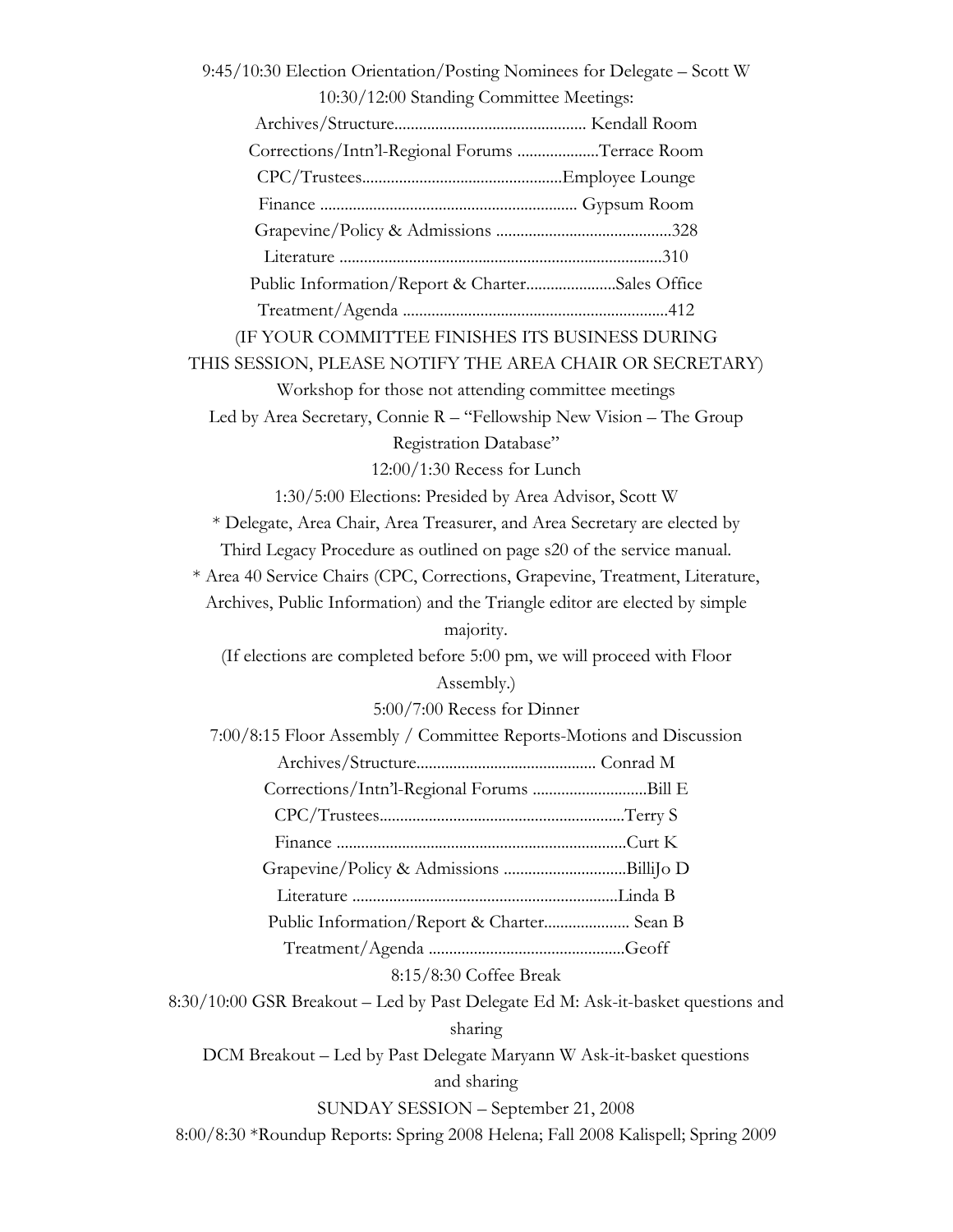9:45/10:30 Election Orientation/Posting Nominees for Delegate – Scott W 10:30/12:00 Standing Committee Meetings: Archives/Structure............................................... Kendall Room Corrections/Intn'l-Regional Forums ....................Terrace Room CPC/Trustees.................................................Employee Lounge Finance ............................................................... Gypsum Room Grapevine/Policy & Admissions ...........................................328 Literature ...............................................................................310 Public Information/Report & Charter......................Sales Office Treatment/Agenda .................................................................412 (IF YOUR COMMITTEE FINISHES ITS BUSINESS DURING THIS SESSION, PLEASE NOTIFY THE AREA CHAIR OR SECRETARY) Workshop for those not attending committee meetings Led by Area Secretary, Connie R – "Fellowship New Vision – The Group Registration Database" 12:00/1:30 Recess for Lunch 1:30/5:00 Elections: Presided by Area Advisor, Scott W \* Delegate, Area Chair, Area Treasurer, and Area Secretary are elected by Third Legacy Procedure as outlined on page s20 of the service manual. \* Area 40 Service Chairs (CPC, Corrections, Grapevine, Treatment, Literature, Archives, Public Information) and the Triangle editor are elected by simple majority. (If elections are completed before 5:00 pm, we will proceed with Floor Assembly.) 5:00/7:00 Recess for Dinner 7:00/8:15 Floor Assembly / Committee Reports-Motions and Discussion Archives/Structure............................................ Conrad M Corrections/Intn'l-Regional Forums ............................Bill E CPC/Trustees............................................................Terry S Finance .......................................................................Curt K Grapevine/Policy & Admissions ..............................BilliJo D Literature .................................................................Linda B Public Information/Report & Charter..................... Sean B Treatment/Agenda ................................................Geoff 8:15/8:30 Coffee Break 8:30/10:00 GSR Breakout – Led by Past Delegate Ed M: Ask-it-basket questions and sharing DCM Breakout – Led by Past Delegate Maryann W Ask-it-basket questions and sharing SUNDAY SESSION – September 21, 2008 8:00/8:30 \*Roundup Reports: Spring 2008 Helena; Fall 2008 Kalispell; Spring 2009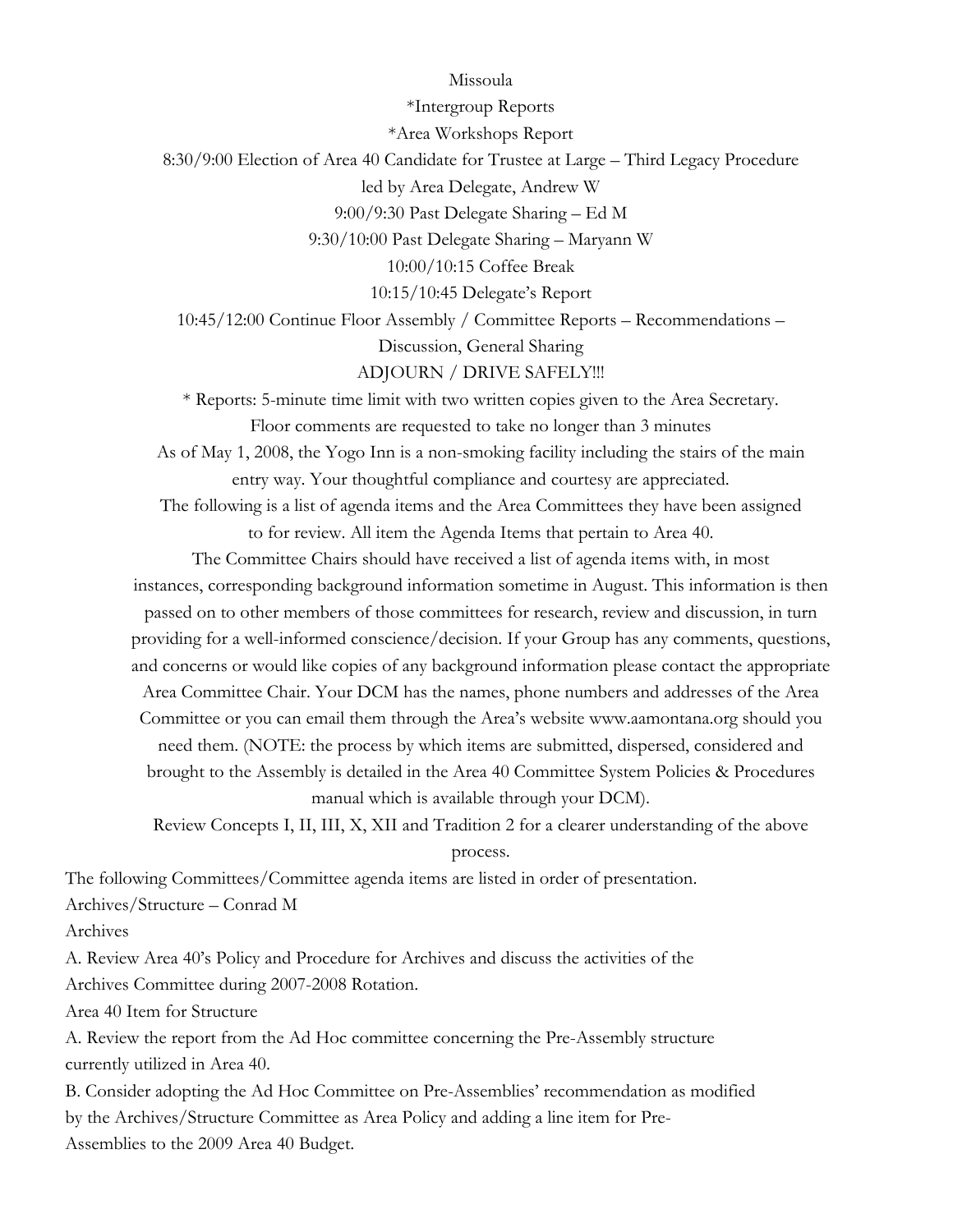Missoula \*Intergroup Reports \*Area Workshops Report 8:30/9:00 Election of Area 40 Candidate for Trustee at Large – Third Legacy Procedure led by Area Delegate, Andrew W 9:00/9:30 Past Delegate Sharing – Ed M 9:30/10:00 Past Delegate Sharing – Maryann W 10:00/10:15 Coffee Break 10:15/10:45 Delegate's Report 10:45/12:00 Continue Floor Assembly / Committee Reports – Recommendations – Discussion, General Sharing ADJOURN / DRIVE SAFELY!!! \* Reports: 5-minute time limit with two written copies given to the Area Secretary. Floor comments are requested to take no longer than 3 minutes As of May 1, 2008, the Yogo Inn is a non-smoking facility including the stairs of the main entry way. Your thoughtful compliance and courtesy are appreciated. The following is a list of agenda items and the Area Committees they have been assigned to for review. All item the Agenda Items that pertain to Area 40. The Committee Chairs should have received a list of agenda items with, in most

instances, corresponding background information sometime in August. This information is then passed on to other members of those committees for research, review and discussion, in turn providing for a well-informed conscience/decision. If your Group has any comments, questions, and concerns or would like copies of any background information please contact the appropriate Area Committee Chair. Your DCM has the names, phone numbers and addresses of the Area Committee or you can email them through the Area's website www.aamontana.org should you need them. (NOTE: the process by which items are submitted, dispersed, considered and brought to the Assembly is detailed in the Area 40 Committee System Policies & Procedures manual which is available through your DCM).

Review Concepts I, II, III, X, XII and Tradition 2 for a clearer understanding of the above process.

The following Committees/Committee agenda items are listed in order of presentation. Archives/Structure – Conrad M

Archives

A. Review Area 40's Policy and Procedure for Archives and discuss the activities of the Archives Committee during 2007-2008 Rotation.

Area 40 Item for Structure

A. Review the report from the Ad Hoc committee concerning the Pre-Assembly structure currently utilized in Area 40.

B. Consider adopting the Ad Hoc Committee on Pre-Assemblies' recommendation as modified by the Archives/Structure Committee as Area Policy and adding a line item for Pre-Assemblies to the 2009 Area 40 Budget.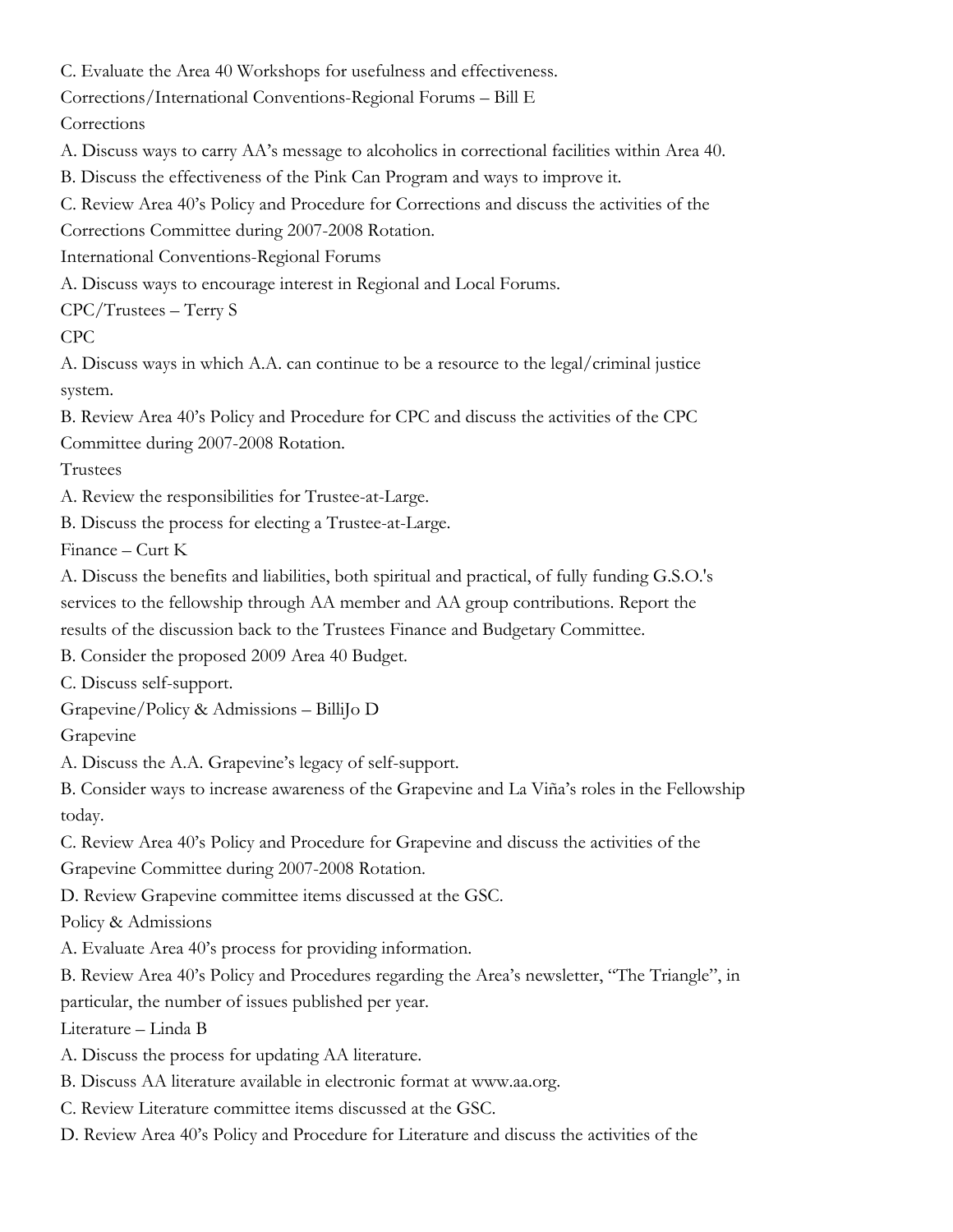C. Evaluate the Area 40 Workshops for usefulness and effectiveness.

Corrections/International Conventions-Regional Forums – Bill E

**Corrections** 

A. Discuss ways to carry AA's message to alcoholics in correctional facilities within Area 40.

B. Discuss the effectiveness of the Pink Can Program and ways to improve it.

C. Review Area 40's Policy and Procedure for Corrections and discuss the activities of the

Corrections Committee during 2007-2008 Rotation.

International Conventions-Regional Forums

A. Discuss ways to encourage interest in Regional and Local Forums.

CPC/Trustees – Terry S

CPC

A. Discuss ways in which A.A. can continue to be a resource to the legal/criminal justice system.

B. Review Area 40's Policy and Procedure for CPC and discuss the activities of the CPC Committee during 2007-2008 Rotation.

Trustees

A. Review the responsibilities for Trustee-at-Large.

B. Discuss the process for electing a Trustee-at-Large.

Finance – Curt K

A. Discuss the benefits and liabilities, both spiritual and practical, of fully funding G.S.O.'s services to the fellowship through AA member and AA group contributions. Report the results of the discussion back to the Trustees Finance and Budgetary Committee.

B. Consider the proposed 2009 Area 40 Budget.

C. Discuss self-support.

Grapevine/Policy & Admissions – BilliJo D

Grapevine

A. Discuss the A.A. Grapevine's legacy of self-support.

B. Consider ways to increase awareness of the Grapevine and La Viña's roles in the Fellowship today.

C. Review Area 40's Policy and Procedure for Grapevine and discuss the activities of the

Grapevine Committee during 2007-2008 Rotation.

D. Review Grapevine committee items discussed at the GSC.

Policy & Admissions

A. Evaluate Area 40's process for providing information.

B. Review Area 40's Policy and Procedures regarding the Area's newsletter, "The Triangle", in

particular, the number of issues published per year.

Literature – Linda B

- A. Discuss the process for updating AA literature.
- B. Discuss AA literature available in electronic format at www.aa.org.
- C. Review Literature committee items discussed at the GSC.
- D. Review Area 40's Policy and Procedure for Literature and discuss the activities of the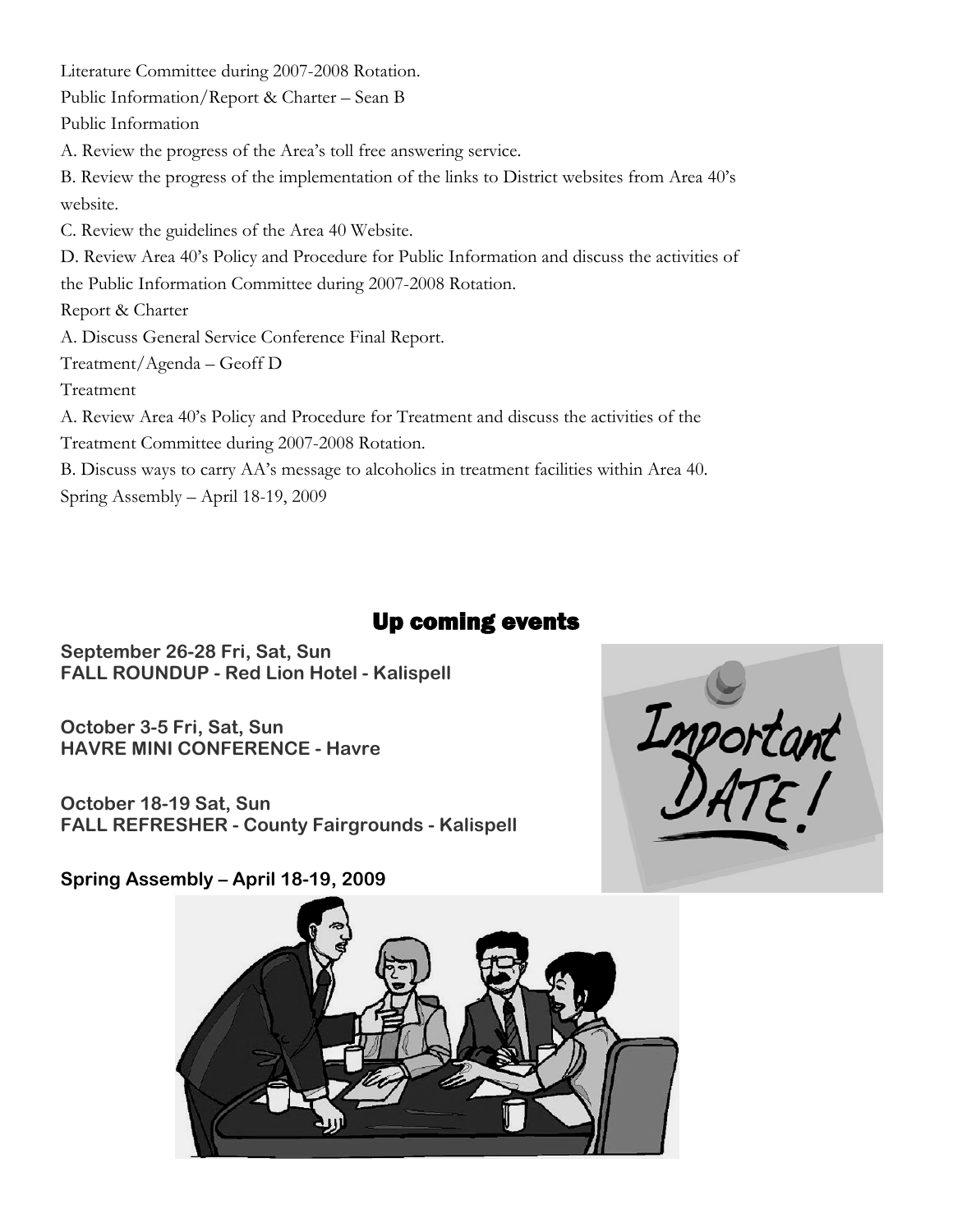Literature Committee during 2007-2008 Rotation. Public Information/Report & Charter – Sean B Public Information A. Review the progress of the Area's toll free answering service. B. Review the progress of the implementation of the links to District websites from Area 40's website. C. Review the guidelines of the Area 40 Website. D. Review Area 40's Policy and Procedure for Public Information and discuss the activities of the Public Information Committee during 2007-2008 Rotation. Report & Charter A. Discuss General Service Conference Final Report. Treatment/Agenda – Geoff D Treatment A. Review Area 40's Policy and Procedure for Treatment and discuss the activities of the Treatment Committee during 2007-2008 Rotation. B. Discuss ways to carry AA's message to alcoholics in treatment facilities within Area 40. Spring Assembly – April 18-19, 2009

## Up coming events

**September 26-28 Fri, Sat, Sun FALL ROUNDUP - Red Lion Hotel - Kalispell** 

**October 3-5 Fri, Sat, Sun HAVRE MINI CONFERENCE - Havre** 

**October 18-19 Sat, Sun FALL REFRESHER - County Fairgrounds - Kalispell** 



**Spring Assembly – April 18-19, 2009**